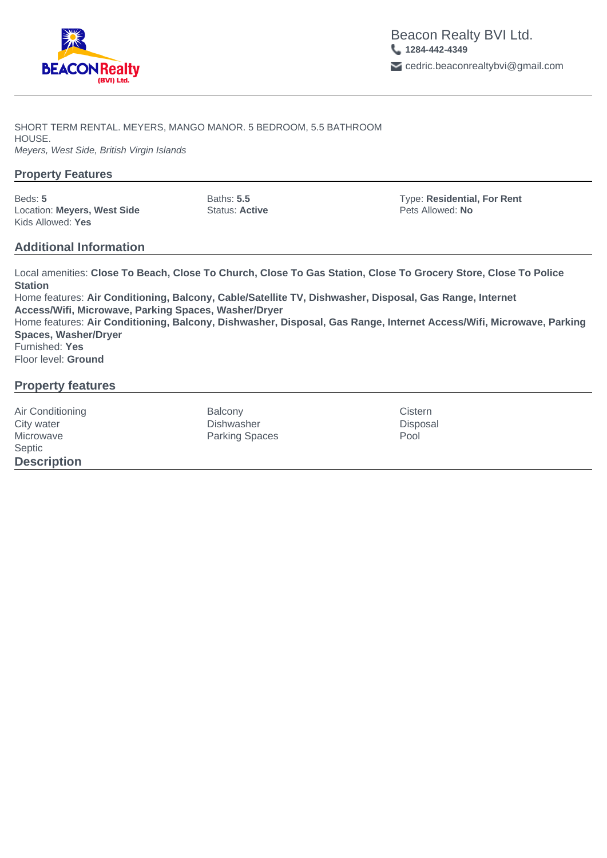

SHORT TERM RENTAL. MEYERS, MANGO MANOR. 5 BEDROOM, 5.5 BATHROOM HOUSE. Meyers, West Side, British Virgin Islands

## **Property Features**

Location: **Meyers, West Side** Status: **Active** Pets Allowed: **No** Kids Allowed: **Yes**

Beds: **5** Baths: **5.5** Type: **Residential, For Rent**

## **Additional Information**

Local amenities: **Close To Beach, Close To Church, Close To Gas Station, Close To Grocery Store, Close To Police Station** Home features: **Air Conditioning, Balcony, Cable/Satellite TV, Dishwasher, Disposal, Gas Range, Internet Access/Wifi, Microwave, Parking Spaces, Washer/Dryer** Home features: **Air Conditioning, Balcony, Dishwasher, Disposal, Gas Range, Internet Access/Wifi, Microwave, Parking Spaces, Washer/Dryer** Furnished: **Yes** Floor level: **Ground**

## **Property features**

Septic **Description**

Air Conditioning **Constanting Conditioning Cistern** Balcony **Cistern** Cistern Cistern City water Dishwasher Disposal Microwave **Parking Spaces** Pool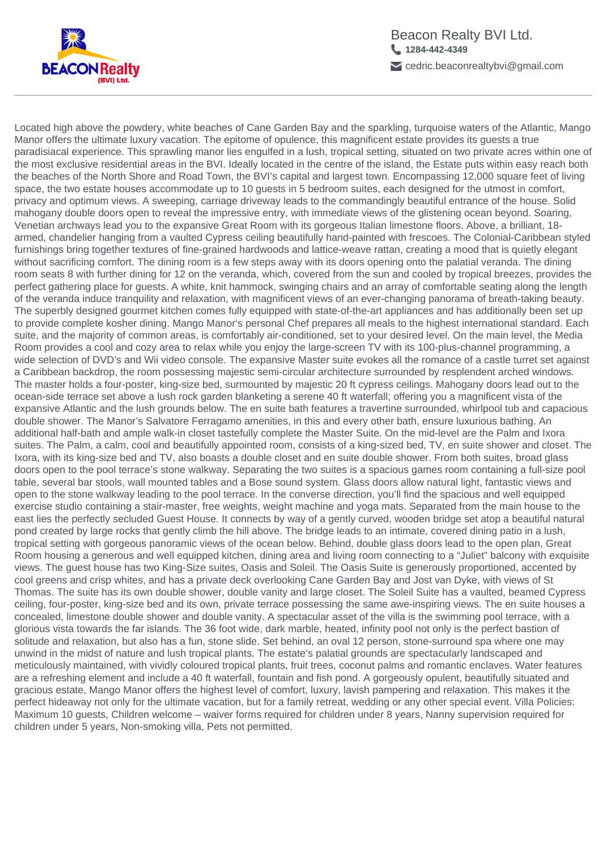

Located high above the powdery, white beaches of Cane Garden Bay and the sparkling, turquoise waters of the Atlantic, Mango Manor offers the ultimate luxury vacation. The epitome of opulence, this magnificent estate provides its guests a true paradisiacal experience. This sprawling manor lies engulfed in a lush, tropical setting, situated on two private acres within one of the most exclusive residential areas in the BVI. Ideally located in the centre of the island, the Estate puts within easy reach both the beaches of the North Shore and Road Town, the BVI's capital and largest town. Encompassing 12,000 square feet of living space, the two estate houses accommodate up to 10 guests in 5 bedroom suites, each designed for the utmost in comfort, privacy and optimum views. A sweeping, carriage driveway leads to the commandingly beautiful entrance of the house. Solid mahogany double doors open to reveal the impressive entry, with immediate views of the glistening ocean beyond. Soaring, Venetian archways lead you to the expansive Great Room with its gorgeous Italian limestone floors. Above, a brilliant, 18 armed, chandelier hanging from a vaulted Cypress ceiling beautifully hand-painted with frescoes. The Colonial-Caribbean styled furnishings bring together textures of fine-grained hardwoods and lattice-weave rattan, creating a mood that is quietly elegant without sacrificing comfort. The dining room is a few steps away with its doors opening onto the palatial veranda. The dining room seats 8 with further dining for 12 on the veranda, which, covered from the sun and cooled by tropical breezes, provides the perfect gathering place for guests. A white, knit hammock, swinging chairs and an array of comfortable seating along the length of the veranda induce tranquility and relaxation, with magnificent views of an ever-changing panorama of breath-taking beauty. The superbly designed gourmet kitchen comes fully equipped with state-of-the-art appliances and has additionally been set up to provide complete kosher dining. Mango Manor's personal Chef prepares all meals to the highest international standard. Each suite, and the majority of common areas, is comfortably air-conditioned, set to your desired level. On the main level, the Media Room provides a cool and cozy area to relax while you enjoy the large-screen TV with its 100-plus-channel programming, a wide selection of DVD's and Wii video console. The expansive Master suite evokes all the romance of a castle turret set against a Caribbean backdrop, the room possessing majestic semi-circular architecture surrounded by resplendent arched windows. The master holds a four-poster, king-size bed, surmounted by majestic 20 ft cypress ceilings. Mahogany doors lead out to the ocean-side terrace set above a lush rock garden blanketing a serene 40 ft waterfall; offering you a magnificent vista of the expansive Atlantic and the lush grounds below. The en suite bath features a travertine surrounded, whirlpool tub and capacious double shower. The Manor's Salvatore Ferragamo amenities, in this and every other bath, ensure luxurious bathing. An additional half-bath and ample walk-in closet tastefully complete the Master Suite. On the mid-level are the Palm and Ixora suites. The Palm, a calm, cool and beautifully appointed room, consists of a king-sized bed, TV, en suite shower and closet. The Ixora, with its king-size bed and TV, also boasts a double closet and en suite double shower. From both suites, broad glass doors open to the pool terrace's stone walkway. Separating the two suites is a spacious games room containing a full-size pool table, several bar stools, wall mounted tables and a Bose sound system. Glass doors allow natural light, fantastic views and open to the stone walkway leading to the pool terrace. In the converse direction, you'll find the spacious and well equipped exercise studio containing a stair-master, free weights, weight machine and yoga mats. Separated from the main house to the east lies the perfectly secluded Guest House. It connects by way of a gently curved, wooden bridge set atop a beautiful natural pond created by large rocks that gently climb the hill above. The bridge leads to an intimate, covered dining patio in a lush, tropical setting with gorgeous panoramic views of the ocean below. Behind, double glass doors lead to the open plan, Great Room housing a generous and well equipped kitchen, dining area and living room connecting to a "Juliet" balcony with exquisite views. The guest house has two King-Size suites, Oasis and Soleil. The Oasis Suite is generously proportioned, accented by cool greens and crisp whites, and has a private deck overlooking Cane Garden Bay and Jost van Dyke, with views of St Thomas. The suite has its own double shower, double vanity and large closet. The Soleil Suite has a vaulted, beamed Cypress ceiling, four-poster, king-size bed and its own, private terrace possessing the same awe-inspiring views. The en suite houses a concealed, limestone double shower and double vanity. A spectacular asset of the villa is the swimming pool terrace, with a glorious vista towards the far islands. The 36 foot wide, dark marble, heated, infinity pool not only is the perfect bastion of solitude and relaxation, but also has a fun, stone slide. Set behind, an oval 12 person, stone-surround spa where one may unwind in the midst of nature and lush tropical plants. The estate's palatial grounds are spectacularly landscaped and meticulously maintained, with vividly coloured tropical plants, fruit trees, coconut palms and romantic enclaves. Water features are a refreshing element and include a 40 ft waterfall, fountain and fish pond. A gorgeously opulent, beautifully situated and gracious estate, Mango Manor offers the highest level of comfort, luxury, lavish pampering and relaxation. This makes it the perfect hideaway not only for the ultimate vacation, but for a family retreat, wedding or any other special event. Villa Policies: Maximum 10 guests, Children welcome – waiver forms required for children under 8 years, Nanny supervision required for children under 5 years, Non-smoking villa, Pets not permitted.